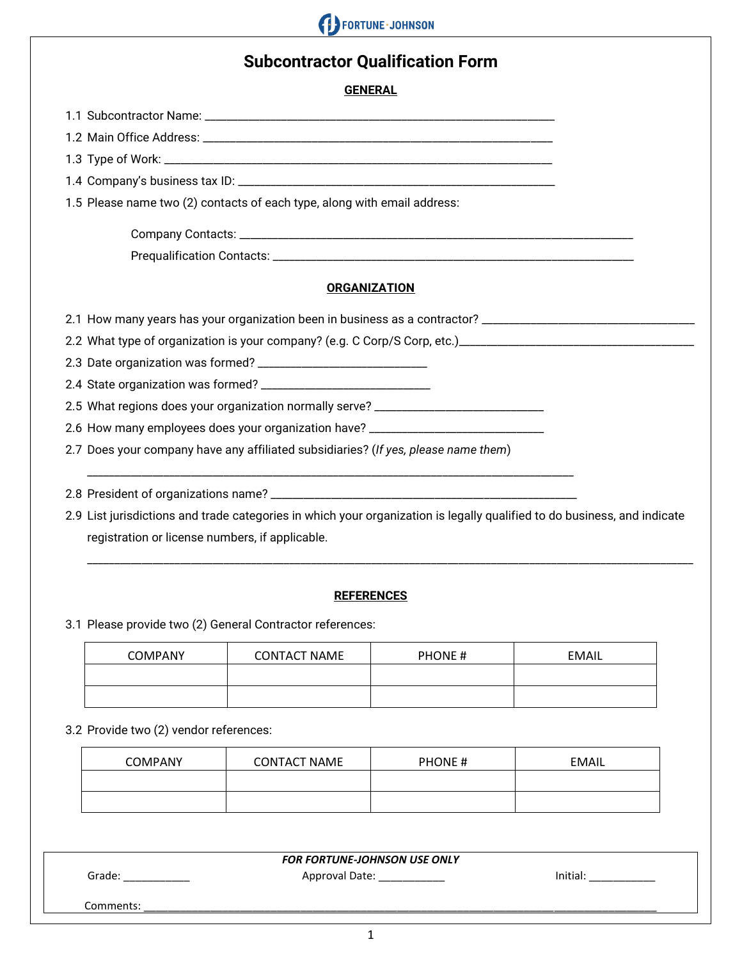

## **Subcontractor Qualification Form**

**GENERAL**

1.1 Subcontractor Name: \_\_\_\_\_\_\_\_\_\_\_\_\_\_\_\_\_\_\_\_\_\_\_\_\_\_\_\_\_\_\_\_\_\_\_\_\_\_\_\_\_\_\_\_\_\_\_\_\_\_\_\_\_\_\_\_\_\_\_\_\_\_\_\_ 1.2 Main Office Address: \_\_\_\_\_\_\_\_\_\_\_\_\_\_\_\_\_\_\_\_\_\_\_\_\_\_\_\_\_\_\_\_\_\_\_\_\_\_\_\_\_\_\_\_\_\_\_\_\_\_\_\_\_\_\_\_\_\_\_\_\_\_\_\_ 1.3 Type of Work: \_\_\_\_\_\_\_\_\_\_\_\_\_\_\_\_\_\_\_\_\_\_\_\_\_\_\_\_\_\_\_\_\_\_\_\_\_\_\_\_\_\_\_\_\_\_\_\_\_\_\_\_\_\_\_\_\_\_\_\_\_\_\_\_\_\_\_\_\_\_\_ 1.4 Company's business tax ID: \_\_\_\_\_\_\_\_\_\_\_\_\_\_\_\_\_\_\_\_\_\_\_\_\_\_\_\_\_\_\_\_\_\_\_\_\_\_\_\_\_\_\_\_\_\_\_\_\_\_\_\_\_\_\_\_\_\_ 1.5 Please name two (2) contacts of each type, along with email address: Company Contacts: \_\_\_\_\_\_\_\_\_\_\_\_\_\_\_\_\_\_\_\_\_\_\_\_\_\_\_\_\_\_\_\_\_\_\_\_\_\_\_\_\_\_\_\_\_\_\_\_\_\_\_\_\_\_\_\_\_\_\_\_\_\_\_\_\_\_\_\_\_\_\_\_ Prequalification Contacts: \_\_\_\_\_\_\_\_\_\_\_\_\_\_\_\_\_\_\_\_\_\_\_\_\_\_\_\_\_\_\_\_\_\_\_\_\_\_\_\_\_\_\_\_\_\_\_\_\_\_\_\_\_\_\_\_\_\_\_\_\_\_\_\_\_\_ **ORGANIZATION** 2.1 How many years has your organization been in business as a contractor? \_\_\_\_\_\_\_\_\_\_\_\_\_\_\_\_\_\_\_\_\_\_\_\_\_\_\_\_\_\_\_\_\_\_\_ 2.2 What type of organization is your company? (e.g. C Corp/S Corp, etc.)\_\_\_\_\_\_\_\_\_\_\_\_\_\_\_\_\_\_\_\_\_\_\_\_\_\_\_\_\_\_\_\_\_\_\_\_\_\_\_\_\_\_\_ 2.3 Date organization was formed? \_\_\_\_\_\_\_\_\_\_\_\_\_\_\_\_\_\_\_\_\_\_\_\_\_\_\_\_\_\_\_ 2.4 State organization was formed? \_\_\_\_\_\_\_\_\_\_\_\_\_\_\_\_\_\_\_\_\_\_\_\_\_\_\_\_\_\_\_ 2.5 What regions does your organization normally serve? \_\_\_\_\_\_\_\_\_\_\_\_\_\_\_\_\_\_\_\_\_\_\_\_ 2.6 How many employees does your organization have? \_\_\_\_\_\_\_\_\_\_\_\_\_\_\_\_\_\_\_\_\_\_\_\_\_\_\_\_ 2.7 Does your company have any affiliated subsidiaries? (*If yes, please name them*) \_\_\_\_\_\_\_\_\_\_\_\_\_\_\_\_\_\_\_\_\_\_\_\_\_\_\_\_\_\_\_\_\_\_\_\_\_\_\_\_\_\_\_\_\_\_\_\_\_\_\_\_\_\_\_\_\_\_\_\_\_\_\_\_\_\_\_\_\_\_\_\_\_\_\_\_\_\_\_\_\_\_\_\_\_\_\_\_\_ 2.8 President of organizations name? \_\_\_\_\_\_\_\_\_\_\_\_\_\_\_\_\_\_\_\_\_\_\_\_\_\_\_\_\_\_\_\_\_\_\_\_\_\_\_\_\_\_\_\_\_\_\_\_\_\_\_\_\_\_\_\_ 2.9 List jurisdictions and trade categories in which your organization is legally qualified to do business, and indicate registration or license numbers, if applicable.

#### **REFERENCES**

\_\_\_\_\_\_\_\_\_\_\_\_\_\_\_\_\_\_\_\_\_\_\_\_\_\_\_\_\_\_\_\_\_\_\_\_\_\_\_\_\_\_\_\_\_\_\_\_\_\_\_\_\_\_\_\_\_\_\_\_\_\_\_\_\_\_\_\_\_\_\_\_\_\_\_\_\_\_\_\_\_\_\_\_\_\_\_\_\_\_\_\_\_\_\_\_\_\_\_\_\_\_\_\_\_\_\_\_\_\_\_

3.1 Please provide two (2) General Contractor references:

| <b>COMPANY</b> | <b>CONTACT NAME</b> | <b>PHONE#</b> | EMAIL |
|----------------|---------------------|---------------|-------|
|                |                     |               |       |
|                |                     |               |       |

3.2 Provide two (2) vendor references:

| <b>COMPANY</b> | <b>CONTACT NAME</b> | <b>PHONE#</b> | EMAIL |
|----------------|---------------------|---------------|-------|
|                |                     |               |       |
|                |                     |               |       |

#### *FOR FORTUNE-JOHNSON USE ONLY*

Grade: \_\_\_\_\_\_\_\_\_\_\_ Approval Date: \_\_\_\_\_\_\_\_\_\_\_ Initial: \_\_\_\_\_\_\_\_\_\_\_

Comments: \_\_\_\_\_\_\_\_\_\_\_\_\_\_\_\_\_\_\_\_\_\_\_\_\_\_\_\_\_\_\_\_\_\_\_\_\_\_\_\_\_\_\_\_\_\_\_\_\_\_\_\_\_\_\_\_\_\_\_\_\_\_\_\_\_\_\_\_\_\_\_\_\_\_\_\_\_\_\_\_\_\_\_\_\_

1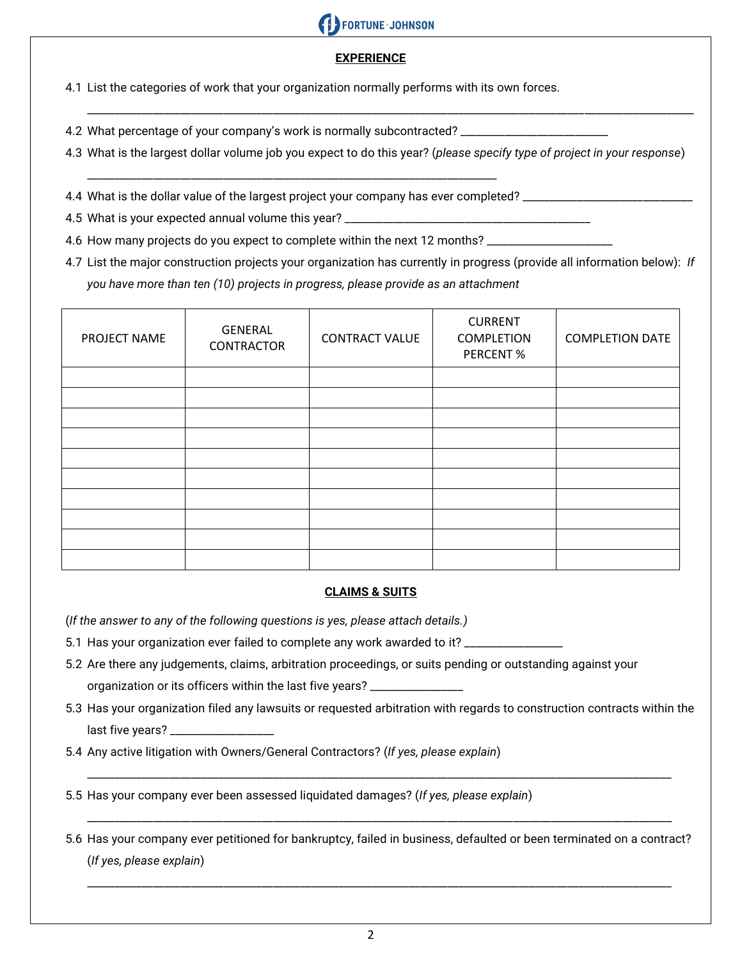

#### **EXPERIENCE**

4.1 List the categories of work that your organization normally performs with its own forces.

4.2 What percentage of your company's work is normally subcontracted? \_\_\_\_\_\_\_\_\_\_\_\_\_\_\_\_\_\_\_\_\_\_\_\_\_\_\_

4.3 What is the largest dollar volume job you expect to do this year? (*please specify type of project in your response*)

\_\_\_\_\_\_\_\_\_\_\_\_\_\_\_\_\_\_\_\_\_\_\_\_\_\_\_\_\_\_\_\_\_\_\_\_\_\_\_\_\_\_\_\_\_\_\_\_\_\_\_\_\_\_\_\_\_\_\_\_\_\_\_\_\_\_\_\_\_\_\_\_\_\_\_\_\_\_\_\_\_\_\_\_\_\_\_\_\_\_\_\_\_\_\_\_\_\_\_\_\_\_\_\_\_\_\_\_\_\_\_

- \_\_\_\_\_\_\_\_\_\_\_\_\_\_\_\_\_\_\_\_\_\_\_\_\_\_\_\_\_\_\_\_\_\_\_\_\_\_\_\_\_\_\_\_\_\_\_\_\_\_\_\_\_\_\_\_\_\_\_\_\_\_\_\_\_\_\_\_\_\_\_\_\_\_\_ 4.4 What is the dollar value of the largest project your company has ever completed? \_\_\_\_\_\_\_\_\_\_\_\_\_\_\_\_\_\_\_\_\_\_\_\_\_
- 4.5 What is your expected annual volume this year? \_\_\_\_\_\_\_\_\_\_\_\_\_\_\_\_\_\_\_\_\_\_\_\_\_\_\_\_\_
- 4.6 How many projects do you expect to complete within the next 12 months? \_\_\_\_\_\_
- 4.7 List the major construction projects your organization has currently in progress (provide all information below): *If you have more than ten (10) projects in progress, please provide as an attachment*

| PROJECT NAME | <b>GENERAL</b><br>CONTRACTOR | <b>CONTRACT VALUE</b> | <b>CURRENT</b><br><b>COMPLETION</b><br>PERCENT% | <b>COMPLETION DATE</b> |
|--------------|------------------------------|-----------------------|-------------------------------------------------|------------------------|
|              |                              |                       |                                                 |                        |
|              |                              |                       |                                                 |                        |
|              |                              |                       |                                                 |                        |
|              |                              |                       |                                                 |                        |
|              |                              |                       |                                                 |                        |
|              |                              |                       |                                                 |                        |
|              |                              |                       |                                                 |                        |
|              |                              |                       |                                                 |                        |
|              |                              |                       |                                                 |                        |
|              |                              |                       |                                                 |                        |

#### **CLAIMS & SUITS**

(*If the answer to any of the following questions is yes, please attach details.)*

- 5.1 Has your organization ever failed to complete any work awarded to it? \_\_\_\_\_\_
- 5.2 Are there any judgements, claims, arbitration proceedings, or suits pending or outstanding against your organization or its officers within the last five years? \_\_
- 5.3 Has your organization filed any lawsuits or requested arbitration with regards to construction contracts within the last five years? \_\_\_

\_\_\_\_\_\_\_\_\_\_\_\_\_\_\_\_\_\_\_\_\_\_\_\_\_\_\_\_\_\_\_\_\_\_\_\_\_\_\_\_\_\_\_\_\_\_\_\_\_\_\_\_\_\_\_\_\_\_\_\_\_\_\_\_\_\_\_\_\_\_\_\_\_\_\_\_\_\_\_\_\_\_\_\_\_\_\_\_\_\_\_\_\_\_\_\_\_\_\_\_\_\_\_\_\_\_\_

5.4 Any active litigation with Owners/General Contractors? (*If yes, please explain*)

5.5 Has your company ever been assessed liquidated damages? (*If yes, please explain*)

5.6 Has your company ever petitioned for bankruptcy, failed in business, defaulted or been terminated on a contract? (*If yes, please explain*)

\_\_\_\_\_\_\_\_\_\_\_\_\_\_\_\_\_\_\_\_\_\_\_\_\_\_\_\_\_\_\_\_\_\_\_\_\_\_\_\_\_\_\_\_\_\_\_\_\_\_\_\_\_\_\_\_\_\_\_\_\_\_\_\_\_\_\_\_\_\_\_\_\_\_\_\_\_\_\_\_\_\_\_\_\_\_\_\_\_\_\_\_\_\_\_\_\_\_\_\_\_\_\_\_\_\_\_

\_\_\_\_\_\_\_\_\_\_\_\_\_\_\_\_\_\_\_\_\_\_\_\_\_\_\_\_\_\_\_\_\_\_\_\_\_\_\_\_\_\_\_\_\_\_\_\_\_\_\_\_\_\_\_\_\_\_\_\_\_\_\_\_\_\_\_\_\_\_\_\_\_\_\_\_\_\_\_\_\_\_\_\_\_\_\_\_\_\_\_\_\_\_\_\_\_\_\_\_\_\_\_\_\_\_\_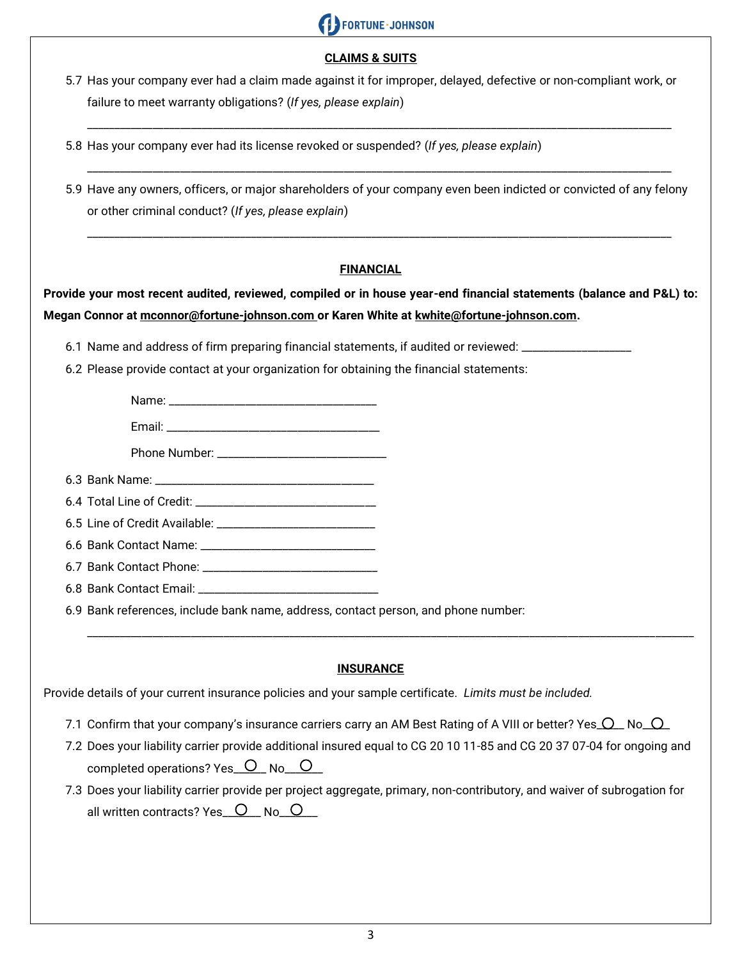

#### **CLAIMS & SUITS**

5.7 Has your company ever had a claim made against it for improper, delayed, defective or non-compliant work, or failure to meet warranty obligations? (*If yes, please explain*)

\_\_\_\_\_\_\_\_\_\_\_\_\_\_\_\_\_\_\_\_\_\_\_\_\_\_\_\_\_\_\_\_\_\_\_\_\_\_\_\_\_\_\_\_\_\_\_\_\_\_\_\_\_\_\_\_\_\_\_\_\_\_\_\_\_\_\_\_\_\_\_\_\_\_\_\_\_\_\_\_\_\_\_\_\_\_\_\_\_\_\_\_\_\_\_\_\_\_\_\_\_\_\_\_\_\_\_

- 5.8 Has your company ever had its license revoked or suspended? (*If yes, please explain*)
- 5.9 Have any owners, officers, or major shareholders of your company even been indicted or convicted of any felony or other criminal conduct? (*If yes, please explain*)

\_\_\_\_\_\_\_\_\_\_\_\_\_\_\_\_\_\_\_\_\_\_\_\_\_\_\_\_\_\_\_\_\_\_\_\_\_\_\_\_\_\_\_\_\_\_\_\_\_\_\_\_\_\_\_\_\_\_\_\_\_\_\_\_\_\_\_\_\_\_\_\_\_\_\_\_\_\_\_\_\_\_\_\_\_\_\_\_\_\_\_\_\_\_\_\_\_\_\_\_\_\_\_\_\_\_\_

\_\_\_\_\_\_\_\_\_\_\_\_\_\_\_\_\_\_\_\_\_\_\_\_\_\_\_\_\_\_\_\_\_\_\_\_\_\_\_\_\_\_\_\_\_\_\_\_\_\_\_\_\_\_\_\_\_\_\_\_\_\_\_\_\_\_\_\_\_\_\_\_\_\_\_\_\_\_\_\_\_\_\_\_\_\_\_\_\_\_\_\_\_\_\_\_\_\_\_\_\_\_\_\_\_\_\_

#### **FINANCIAL**

## **Provide your most recent audited, reviewed, compiled or in house year-end financial statements (balance and P&L) to: Megan Connor at mconnor@fortune-johnson.com or Karen White at kwhite@fortune-johnson.com.**

6.1 Name and address of firm preparing financial statements, if audited or reviewed: \_\_\_

6.2 Please provide contact at your organization for obtaining the financial statements:

Name: Email: \_\_\_\_\_\_\_\_\_\_\_\_\_\_\_\_\_\_\_\_\_\_\_\_\_\_\_\_\_\_\_\_\_\_\_\_\_\_\_

Phone Number: \_\_\_\_\_\_\_\_\_\_\_\_\_\_\_\_\_\_\_\_\_\_\_\_\_\_\_\_\_\_\_

6.3 Bank Name: \_\_\_\_

6.4 Total Line of Credit: \_\_\_\_\_

6.5 Line of Credit Available:

6.6 Bank Contact Name: \_\_\_\_\_\_\_\_\_\_\_\_\_\_\_\_\_\_\_\_\_\_\_\_\_\_\_\_\_\_\_\_

6.7 Bank Contact Phone:

6.8 Bank Contact Email:

6.9 Bank references, include bank name, address, contact person, and phone number:

#### **INSURANCE**

\_\_\_\_\_\_\_\_\_\_\_\_\_\_\_\_\_\_\_\_\_\_\_\_\_\_\_\_\_\_\_\_\_\_\_\_\_\_\_\_\_\_\_\_\_\_\_\_\_\_\_\_\_\_\_\_\_\_\_\_\_\_\_\_\_\_\_\_\_\_\_\_\_\_\_\_\_\_\_\_\_\_\_\_\_\_\_\_\_\_\_\_\_\_\_\_\_\_\_\_\_\_\_\_\_\_\_\_\_\_\_

Provide details of your current insurance policies and your sample certificate. *Limits must be included.*

- 7.1 Confirm that your company's insurance carriers carry an AM Best Rating of A VIII or better? Yes  $\Omega$  No  $\Omega$
- 7.2 Does your liability carrier provide additional insured equal to CG 20 10 11-85 and CG 20 37 07-04 for ongoing and completed operations? Yes  $\overline{O}$  No  $\overline{O}$
- 7.3 Does your liability carrier provide per project aggregate, primary, non-contributory, and waiver of subrogation for all written contracts? Yes\_ $O_{\text{N}}$  No\_ $O_{\text{N}}$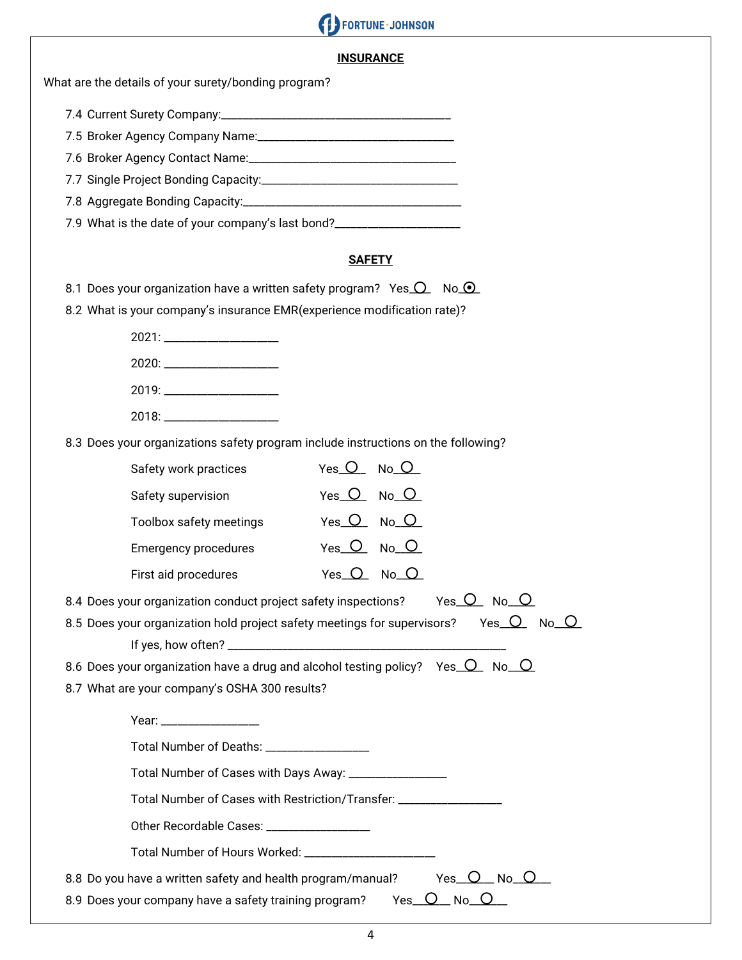# **CONTROLL OF SCHOOL**

#### **INSURANCE**

What are the details of your surety/bonding program?

| 7.9 What is the date of your company's last bond? |
|---------------------------------------------------|

#### **SAFETY**

8.1 Does your organization have a written safety program? Yes  $Q$  No  $Q$ 

8.2 What is your company's insurance EMR(experience modification rate)?

| 8.3 Does your organizations safety program include instructions on the following? |                    |  |
|-----------------------------------------------------------------------------------|--------------------|--|
| Safety work practices                                                             | Yes O No O         |  |
| Safety supervision                                                                | $Yes$ $O$ $No$ $O$ |  |
| Toolbox safety meetings                                                           | Yes $O$ No $O$     |  |

| First aid procedures | Yes $O$ No $O$ |  |
|----------------------|----------------|--|

Emergency procedures Yes O No O

| 8.4 Does your organization conduct project safety inspections? | Yes O No O |  |
|----------------------------------------------------------------|------------|--|
|----------------------------------------------------------------|------------|--|

8.5 Does your organization hold project safety meetings for supervisors? Yes  $\overline{O}$  No  $\overline{O}$ If yes, how often? \_\_\_\_\_\_\_\_\_\_\_\_\_\_\_\_\_\_\_\_\_\_\_\_\_\_\_\_\_\_\_\_\_\_\_\_\_\_\_\_\_\_\_\_\_\_\_\_\_\_\_

8.6 Does your organization have a drug and alcohol testing policy? Yes  $\overline{O}$  No  $\overline{O}$ 

8.7 What are your company's OSHA 300 results?

| Year: _________________                                                                                |
|--------------------------------------------------------------------------------------------------------|
| Total Number of Deaths: ___________________                                                            |
| Total Number of Cases with Days Away: ___________________                                              |
| Total Number of Cases with Restriction/Transfer: __________________                                    |
| Other Recordable Cases: ____________________                                                           |
| Total Number of Hours Worked: ________________________                                                 |
| Yes O No O<br>8.8 Do you have a written safety and health program/manual?                              |
| 8.9 Does your company have a safety training program?<br>$\_$ No $\_$ $\circlearrowleft$<br>Yes $\cup$ |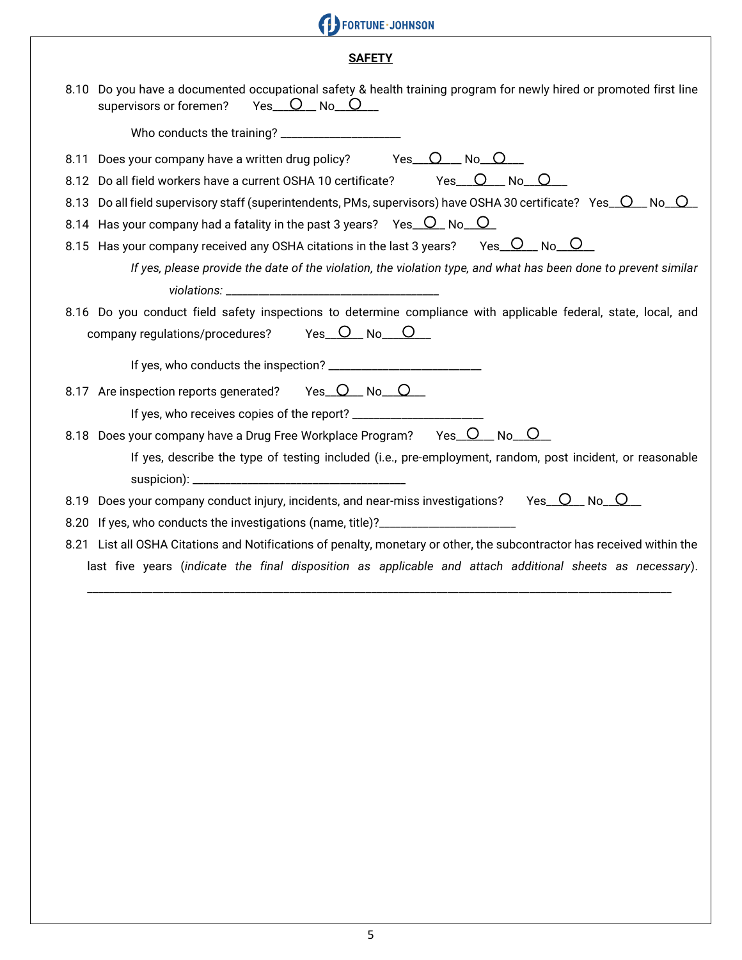# FORTUNE - JOHNSON

## **SAFETY**

| 8.10 Do you have a documented occupational safety & health training program for newly hired or promoted first line<br>$Yes$ $O$ $No$ $O$<br>supervisors or foremen? |
|---------------------------------------------------------------------------------------------------------------------------------------------------------------------|
|                                                                                                                                                                     |
| Does your company have a written drug policy? $Yes \_Q \_ No \_Q$<br>8.11                                                                                           |
| Do all field workers have a current OSHA 10 certificate? Yes O No O<br>8.12                                                                                         |
| Do all field supervisory staff (superintendents, PMs, supervisors) have OSHA 30 certificate? Yes O No O<br>8.13                                                     |
| 8.14 Has your company had a fatality in the past 3 years? Yes $O$ No $O$                                                                                            |
| 8.15 Has your company received any OSHA citations in the last 3 years? Yes $\overline{O}$ No $\overline{O}$                                                         |
| If yes, please provide the date of the violation, the violation type, and what has been done to prevent similar                                                     |
|                                                                                                                                                                     |
| 8.16 Do you conduct field safety inspections to determine compliance with applicable federal, state, local, and                                                     |
|                                                                                                                                                                     |
|                                                                                                                                                                     |
| 8.17 Are inspection reports generated? Yes O No O                                                                                                                   |
|                                                                                                                                                                     |
| 8.18 Does your company have a Drug Free Workplace Program? Yes O No O                                                                                               |
| If yes, describe the type of testing included (i.e., pre-employment, random, post incident, or reasonable                                                           |
|                                                                                                                                                                     |
| 8.19 Does your company conduct injury, incidents, and near-miss investigations? Yes C No C                                                                          |
| 8.20 If yes, who conducts the investigations (name, title)?_____________________                                                                                    |
| 8.21 List all OSHA Citations and Notifications of penalty, monetary or other, the subcontractor has received within the                                             |
| last five years (indicate the final disposition as applicable and attach additional sheets as necessary).                                                           |